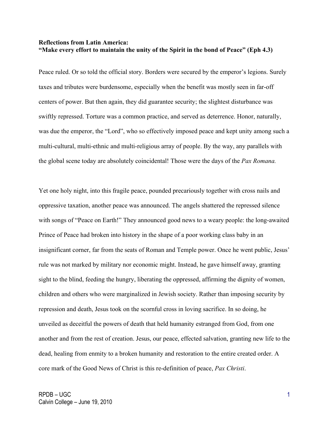## **Reflections from Latin America: "Make every effort to maintain the unity of the Spirit in the bond of Peace" (Eph 4.3)**

Peace ruled. Or so told the official story. Borders were secured by the emperor's legions. Surely taxes and tributes were burdensome, especially when the benefit was mostly seen in far-off centers of power. But then again, they did guarantee security; the slightest disturbance was swiftly repressed. Torture was a common practice, and served as deterrence. Honor, naturally, was due the emperor, the "Lord", who so effectively imposed peace and kept unity among such a multi-cultural, multi-ethnic and multi-religious array of people. By the way, any parallels with the global scene today are absolutely coincidental! Those were the days of the *Pax Romana.*

Yet one holy night, into this fragile peace, pounded precariously together with cross nails and oppressive taxation, another peace was announced. The angels shattered the repressed silence with songs of "Peace on Earth!" They announced good news to a weary people: the long-awaited Prince of Peace had broken into history in the shape of a poor working class baby in an insignificant corner, far from the seats of Roman and Temple power. Once he went public, Jesus' rule was not marked by military nor economic might. Instead, he gave himself away, granting sight to the blind, feeding the hungry, liberating the oppressed, affirming the dignity of women, children and others who were marginalized in Jewish society. Rather than imposing security by repression and death, Jesus took on the scornful cross in loving sacrifice. In so doing, he unveiled as deceitful the powers of death that held humanity estranged from God, from one another and from the rest of creation. Jesus, our peace, effected salvation, granting new life to the dead, healing from enmity to a broken humanity and restoration to the entire created order. A core mark of the Good News of Christ is this re-definition of peace, *Pax Christi*.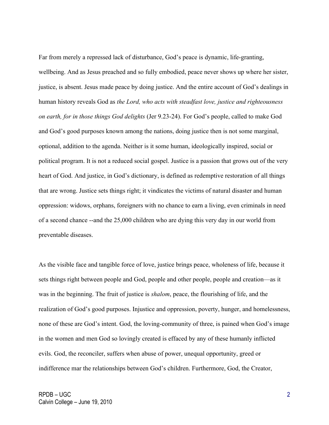Far from merely a repressed lack of disturbance, God's peace is dynamic, life-granting, wellbeing. And as Jesus preached and so fully embodied, peace never shows up where her sister, justice, is absent. Jesus made peace by doing justice. And the entire account of God's dealings in human history reveals God as *the Lord, who acts with steadfast love, justice and righteousness on earth, for in those things God delights* (Jer 9.23-24). For God's people, called to make God and God's good purposes known among the nations, doing justice then is not some marginal, optional, addition to the agenda. Neither is it some human, ideologically inspired, social or political program. It is not a reduced social gospel. Justice is a passion that grows out of the very heart of God. And justice, in God's dictionary, is defined as redemptive restoration of all things that are wrong. Justice sets things right; it vindicates the victims of natural disaster and human oppression: widows, orphans, foreigners with no chance to earn a living, even criminals in need of a second chance --and the 25,000 children who are dying this very day in our world from preventable diseases.

As the visible face and tangible force of love, justice brings peace, wholeness of life, because it sets things right between people and God, people and other people, people and creation—as it was in the beginning. The fruit of justice is *shalom*, peace, the flourishing of life, and the realization of God's good purposes. Injustice and oppression, poverty, hunger, and homelessness, none of these are God's intent. God, the loving-community of three, is pained when God's image in the women and men God so lovingly created is effaced by any of these humanly inflicted evils. God, the reconciler, suffers when abuse of power, unequal opportunity, greed or indifference mar the relationships between God's children. Furthermore, God, the Creator,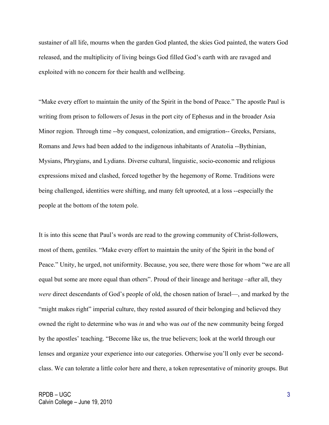sustainer of all life, mourns when the garden God planted, the skies God painted, the waters God released, and the multiplicity of living beings God filled God's earth with are ravaged and exploited with no concern for their health and wellbeing.

"Make every effort to maintain the unity of the Spirit in the bond of Peace." The apostle Paul is writing from prison to followers of Jesus in the port city of Ephesus and in the broader Asia Minor region. Through time --by conquest, colonization, and emigration-- Greeks, Persians, Romans and Jews had been added to the indigenous inhabitants of Anatolia --Bythinian, Mysians, Phrygians, and Lydians. Diverse cultural, linguistic, socio-economic and religious expressions mixed and clashed, forced together by the hegemony of Rome. Traditions were being challenged, identities were shifting, and many felt uprooted, at a loss --especially the people at the bottom of the totem pole.

It is into this scene that Paul's words are read to the growing community of Christ-followers, most of them, gentiles. "Make every effort to maintain the unity of the Spirit in the bond of Peace." Unity, he urged, not uniformity. Because, you see, there were those for whom "we are all equal but some are more equal than others". Proud of their lineage and heritage –after all, they *were* direct descendants of God's people of old, the chosen nation of Israel—, and marked by the "might makes right" imperial culture, they rested assured of their belonging and believed they owned the right to determine who was *in* and who was *out* of the new community being forged by the apostles' teaching. "Become like us, the true believers; look at the world through our lenses and organize your experience into our categories. Otherwise you'll only ever be secondclass. We can tolerate a little color here and there, a token representative of minority groups. But

3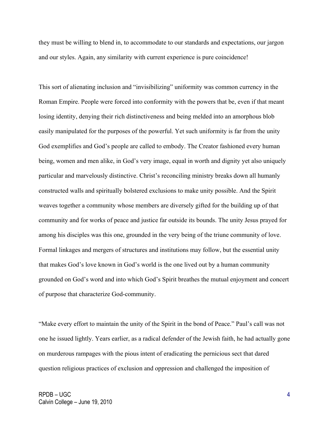they must be willing to blend in, to accommodate to our standards and expectations, our jargon and our styles. Again, any similarity with current experience is pure coincidence!

This sort of alienating inclusion and "invisibilizing" uniformity was common currency in the Roman Empire. People were forced into conformity with the powers that be, even if that meant losing identity, denying their rich distinctiveness and being melded into an amorphous blob easily manipulated for the purposes of the powerful. Yet such uniformity is far from the unity God exemplifies and God's people are called to embody. The Creator fashioned every human being, women and men alike, in God's very image, equal in worth and dignity yet also uniquely particular and marvelously distinctive. Christ's reconciling ministry breaks down all humanly constructed walls and spiritually bolstered exclusions to make unity possible. And the Spirit weaves together a community whose members are diversely gifted for the building up of that community and for works of peace and justice far outside its bounds. The unity Jesus prayed for among his disciples was this one, grounded in the very being of the triune community of love. Formal linkages and mergers of structures and institutions may follow, but the essential unity that makes God's love known in God's world is the one lived out by a human community grounded on God's word and into which God's Spirit breathes the mutual enjoyment and concert of purpose that characterize God-community.

"Make every effort to maintain the unity of the Spirit in the bond of Peace." Paul's call was not one he issued lightly. Years earlier, as a radical defender of the Jewish faith, he had actually gone on murderous rampages with the pious intent of eradicating the pernicious sect that dared question religious practices of exclusion and oppression and challenged the imposition of

4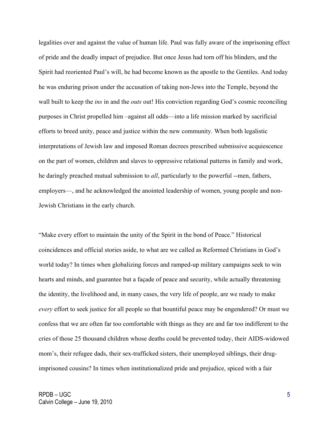legalities over and against the value of human life. Paul was fully aware of the imprisoning effect of pride and the deadly impact of prejudice. But once Jesus had torn off his blinders, and the Spirit had reoriented Paul's will, he had become known as the apostle to the Gentiles. And today he was enduring prison under the accusation of taking non-Jews into the Temple, beyond the wall built to keep the *ins* in and the *outs* out! His conviction regarding God's cosmic reconciling purposes in Christ propelled him –against all odds—into a life mission marked by sacrificial efforts to breed unity, peace and justice within the new community. When both legalistic interpretations of Jewish law and imposed Roman decrees prescribed submissive acquiescence on the part of women, children and slaves to oppressive relational patterns in family and work, he daringly preached mutual submission to *all*, particularly to the powerful --men, fathers, employers—, and he acknowledged the anointed leadership of women, young people and non-Jewish Christians in the early church.

"Make every effort to maintain the unity of the Spirit in the bond of Peace." Historical coincidences and official stories aside, to what are we called as Reformed Christians in God's world today? In times when globalizing forces and ramped-up military campaigns seek to win hearts and minds, and guarantee but a façade of peace and security, while actually threatening the identity, the livelihood and, in many cases, the very life of people, are we ready to make *every* effort to seek justice for all people so that bountiful peace may be engendered? Or must we confess that we are often far too comfortable with things as they are and far too indifferent to the cries of those 25 thousand children whose deaths could be prevented today, their AIDS-widowed mom's, their refugee dads, their sex-trafficked sisters, their unemployed siblings, their drugimprisoned cousins? In times when institutionalized pride and prejudice, spiced with a fair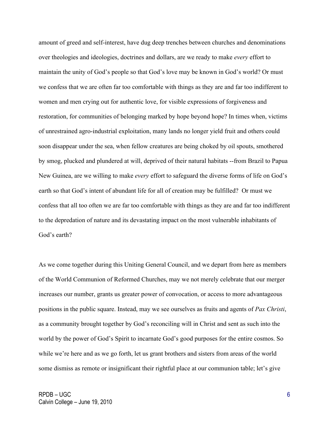amount of greed and self-interest, have dug deep trenches between churches and denominations over theologies and ideologies, doctrines and dollars, are we ready to make *every* effort to maintain the unity of God's people so that God's love may be known in God's world? Or must we confess that we are often far too comfortable with things as they are and far too indifferent to women and men crying out for authentic love, for visible expressions of forgiveness and restoration, for communities of belonging marked by hope beyond hope? In times when, victims of unrestrained agro-industrial exploitation, many lands no longer yield fruit and others could soon disappear under the sea, when fellow creatures are being choked by oil spouts, smothered by smog, plucked and plundered at will, deprived of their natural habitats --from Brazil to Papua New Guinea, are we willing to make *every* effort to safeguard the diverse forms of life on God's earth so that God's intent of abundant life for all of creation may be fulfilled? Or must we confess that all too often we are far too comfortable with things as they are and far too indifferent to the depredation of nature and its devastating impact on the most vulnerable inhabitants of God's earth?

As we come together during this Uniting General Council, and we depart from here as members of the World Communion of Reformed Churches, may we not merely celebrate that our merger increases our number, grants us greater power of convocation, or access to more advantageous positions in the public square. Instead, may we see ourselves as fruits and agents of *Pax Christi*, as a community brought together by God's reconciling will in Christ and sent as such into the world by the power of God's Spirit to incarnate God's good purposes for the entire cosmos. So while we're here and as we go forth, let us grant brothers and sisters from areas of the world some dismiss as remote or insignificant their rightful place at our communion table; let's give